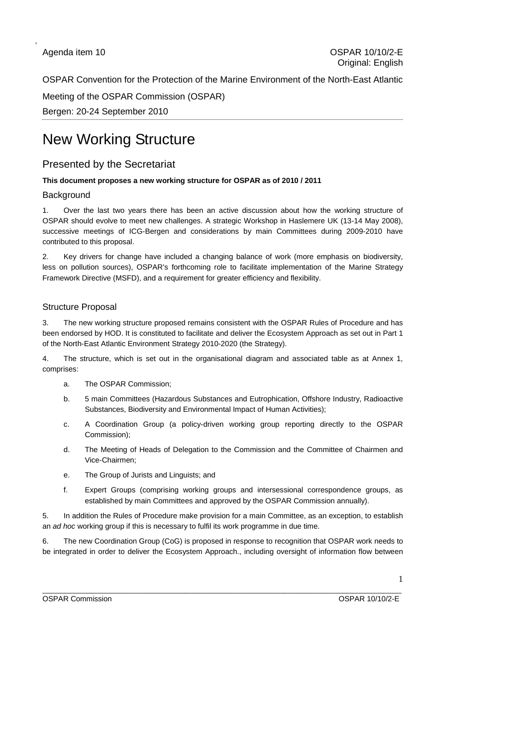OSPAR Convention for the Protection of the Marine Environment of the North-East Atlantic

Meeting of the OSPAR Commission (OSPAR) Bergen: 20-24 September 2010

## New Working Structure

### Presented by the Secretariat

### **This document proposes a new working structure for OSPAR as of 2010 / 2011**

### **Background**

1. Over the last two years there has been an active discussion about how the working structure of OSPAR should evolve to meet new challenges. A strategic Workshop in Haslemere UK (13-14 May 2008), successive meetings of ICG-Bergen and considerations by main Committees during 2009-2010 have contributed to this proposal.

2. Key drivers for change have included a changing balance of work (more emphasis on biodiversity, less on pollution sources), OSPAR's forthcoming role to facilitate implementation of the Marine Strategy Framework Directive (MSFD), and a requirement for greater efficiency and flexibility.

### Structure Proposal

3. The new working structure proposed remains consistent with the OSPAR Rules of Procedure and has been endorsed by HOD. It is constituted to facilitate and deliver the Ecosystem Approach as set out in Part 1 of the North-East Atlantic Environment Strategy 2010-2020 (the Strategy).

4. The structure, which is set out in the organisational diagram and associated table as at Annex 1, comprises:

- a. The OSPAR Commission;
- b. 5 main Committees (Hazardous Substances and Eutrophication, Offshore Industry, Radioactive Substances, Biodiversity and Environmental Impact of Human Activities);
- c. A Coordination Group (a policy-driven working group reporting directly to the OSPAR Commission);
- d. The Meeting of Heads of Delegation to the Commission and the Committee of Chairmen and Vice-Chairmen;
- e. The Group of Jurists and Linguists; and
- f. Expert Groups (comprising working groups and intersessional correspondence groups, as established by main Committees and approved by the OSPAR Commission annually).

5. In addition the Rules of Procedure make provision for a main Committee, as an exception, to establish an *ad hoc* working group if this is necessary to fulfil its work programme in due time.

6. The new Coordination Group (CoG) is proposed in response to recognition that OSPAR work needs to be integrated in order to deliver the Ecosystem Approach., including oversight of information flow between

OSPAR Commission OSPAR 10/10/2-E

\_\_\_\_\_\_\_\_\_\_\_\_\_\_\_\_\_\_\_\_\_\_\_\_\_\_\_\_\_\_\_\_\_\_\_\_\_\_\_\_\_\_\_\_\_\_\_\_\_\_\_\_\_\_\_\_\_\_\_\_\_\_\_\_\_\_\_\_\_\_\_\_\_\_\_\_\_\_\_\_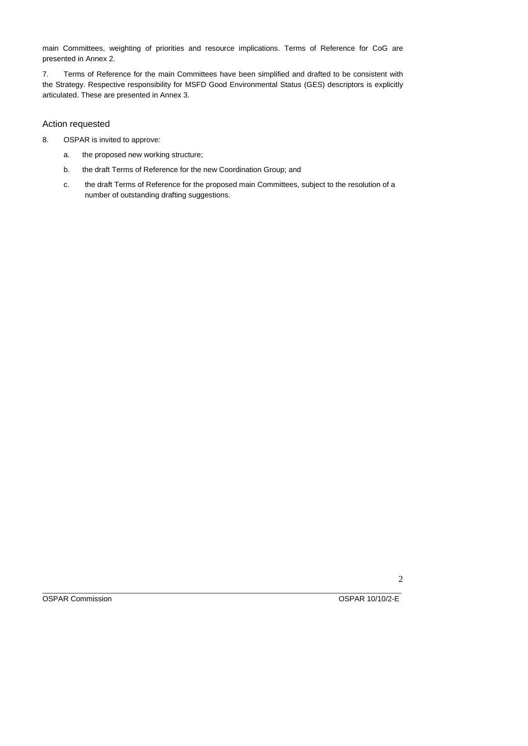main Committees, weighting of priorities and resource implications. Terms of Reference for CoG are presented in Annex 2.

7. Terms of Reference for the main Committees have been simplified and drafted to be consistent with the Strategy. Respective responsibility for MSFD Good Environmental Status (GES) descriptors is explicitly articulated. These are presented in Annex 3.

### Action requested

- 8. OSPAR is invited to approve:
	- a. the proposed new working structure;
	- b. the draft Terms of Reference for the new Coordination Group; and
	- c. the draft Terms of Reference for the proposed main Committees, subject to the resolution of a number of outstanding drafting suggestions.

OSPAR Commission COSPAR 10/10/2-E

\_\_\_\_\_\_\_\_\_\_\_\_\_\_\_\_\_\_\_\_\_\_\_\_\_\_\_\_\_\_\_\_\_\_\_\_\_\_\_\_\_\_\_\_\_\_\_\_\_\_\_\_\_\_\_\_\_\_\_\_\_\_\_\_\_\_\_\_\_\_\_\_\_\_\_\_\_\_\_\_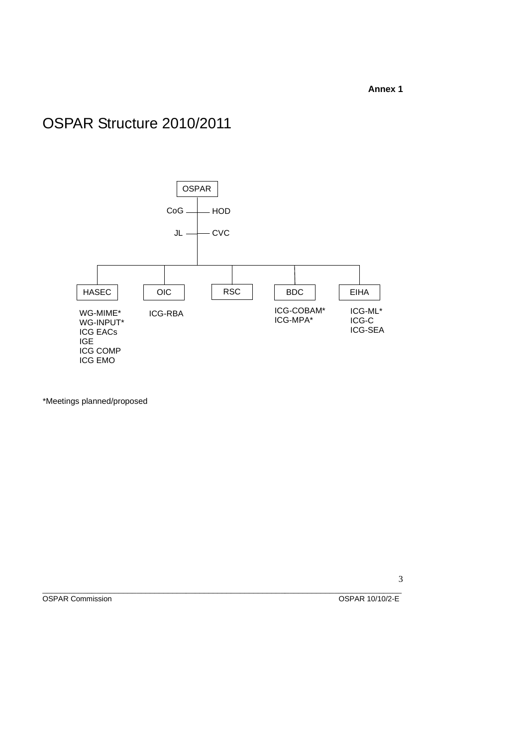### **Annex 1**

# OSPAR Structure 2010/2011



\*Meetings planned/proposed

OSPAR Commission OSPAR 10/10/2-E

\_\_\_\_\_\_\_\_\_\_\_\_\_\_\_\_\_\_\_\_\_\_\_\_\_\_\_\_\_\_\_\_\_\_\_\_\_\_\_\_\_\_\_\_\_\_\_\_\_\_\_\_\_\_\_\_\_\_\_\_\_\_\_\_\_\_\_\_\_\_\_\_\_\_\_\_\_\_\_\_ 3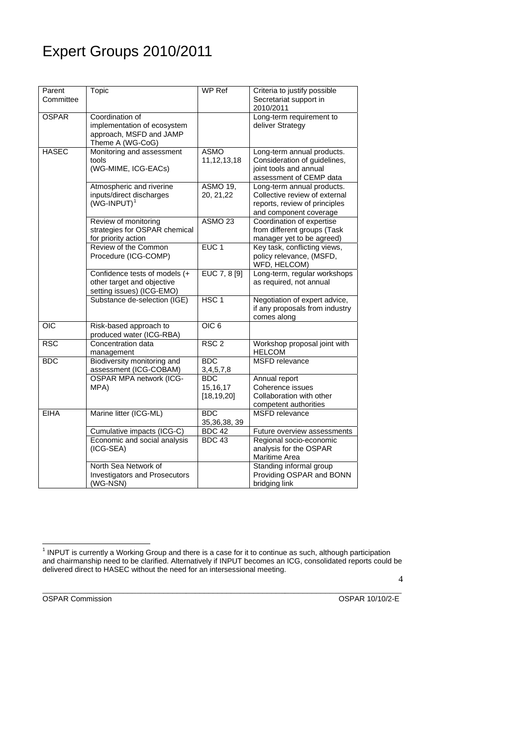# Expert Groups 2010/2011

| Parent<br>Committee | Topic                                                                                         | WP Ref                                   | Criteria to justify possible<br>Secretariat support in<br>2010/2011                                                    |
|---------------------|-----------------------------------------------------------------------------------------------|------------------------------------------|------------------------------------------------------------------------------------------------------------------------|
| <b>OSPAR</b>        | Coordination of<br>implementation of ecosystem<br>approach, MSFD and JAMP<br>Theme A (WG-CoG) |                                          | Long-term requirement to<br>deliver Strategy                                                                           |
| <b>HASEC</b>        | Monitoring and assessment<br>tools<br>(WG-MIME, ICG-EACs)                                     | <b>ASMO</b><br>11, 12, 13, 18            | Long-term annual products.<br>Consideration of guidelines,<br>joint tools and annual<br>assessment of CEMP data        |
|                     | Atmospheric and riverine<br>inputs/direct discharges<br>$(WG-IPUT)^1$                         | <b>ASMO 19,</b><br>20, 21, 22            | Long-term annual products.<br>Collective review of external<br>reports, review of principles<br>and component coverage |
|                     | Review of monitoring<br>strategies for OSPAR chemical<br>for priority action                  | ASMO <sub>23</sub>                       | Coordination of expertise<br>from different groups (Task<br>manager yet to be agreed)                                  |
|                     | Review of the Common<br>Procedure (ICG-COMP)                                                  | EUC <sub>1</sub>                         | Key task, conflicting views,<br>policy relevance, (MSFD,<br>WFD, HELCOM)                                               |
|                     | Confidence tests of models (+<br>other target and objective<br>setting issues) (ICG-EMO)      | EUC 7, 8 [9]                             | Long-term, regular workshops<br>as required, not annual                                                                |
|                     | Substance de-selection (IGE)                                                                  | HSC <sub>1</sub>                         | Negotiation of expert advice,<br>if any proposals from industry<br>comes along                                         |
| $\overline{OC}$     | Risk-based approach to<br>produced water (ICG-RBA)                                            | OIC <sub>6</sub>                         |                                                                                                                        |
| <b>RSC</b>          | Concentration data<br>management                                                              | RSC <sub>2</sub>                         | Workshop proposal joint with<br><b>HELCOM</b>                                                                          |
| <b>BDC</b>          | Biodiversity monitoring and<br>assessment (ICG-COBAM)                                         | <b>BDC</b><br>3,4,5,7,8                  | <b>MSFD</b> relevance                                                                                                  |
|                     | <b>OSPAR MPA network (ICG-</b><br>MPA)                                                        | <b>BDC</b><br>15, 16, 17<br>[18, 19, 20] | Annual report<br>Coherence issues<br>Collaboration with other<br>competent authorities                                 |
| <b>EIHA</b>         | Marine litter (ICG-ML)                                                                        | BDC<br>35, 36, 38, 39                    | <b>MSFD</b> relevance                                                                                                  |
|                     | Cumulative impacts (ICG-C)                                                                    | $BDC$ 42                                 | Future overview assessments                                                                                            |
|                     | Economic and social analysis<br>(ICG-SEA)                                                     | <b>BDC 43</b>                            | Regional socio-economic<br>analysis for the OSPAR<br>Maritime Area                                                     |
|                     | North Sea Network of<br><b>Investigators and Prosecutors</b><br>(WG-NSN)                      |                                          | Standing informal group<br>Providing OSPAR and BONN<br>bridging link                                                   |

<span id="page-3-0"></span>OSPAR Commission OSPAR 10/10/2-E

\_\_\_\_\_\_\_\_\_\_\_\_\_\_\_\_\_\_\_\_\_\_\_\_\_\_\_\_\_\_\_\_\_\_\_\_\_\_\_\_\_\_\_\_\_\_\_\_\_\_\_\_\_\_\_\_\_\_\_\_\_\_\_\_\_\_\_\_\_\_\_\_\_\_\_\_\_\_\_\_

 1 INPUT is currently a Working Group and there is a case for it to continue as such, although participation and chairmanship need to be clarified. Alternatively if INPUT becomes an ICG, consolidated reports could be delivered direct to HASEC without the need for an intersessional meeting.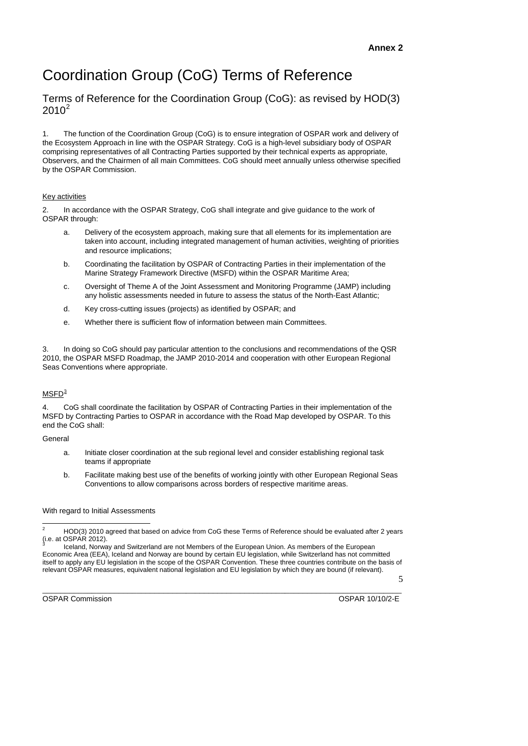# Coordination Group (CoG) Terms of Reference

Terms of Reference for the Coordination Group (CoG): as revised by HOD(3)  $2010^2$  $2010^2$ 

1. The function of the Coordination Group (CoG) is to ensure integration of OSPAR work and delivery of the Ecosystem Approach in line with the OSPAR Strategy. CoG is a high-level subsidiary body of OSPAR comprising representatives of all Contracting Parties supported by their technical experts as appropriate, Observers, and the Chairmen of all main Committees. CoG should meet annually unless otherwise specified by the OSPAR Commission.

### Key activities

2. In accordance with the OSPAR Strategy, CoG shall integrate and give guidance to the work of OSPAR through:

- a. Delivery of the ecosystem approach, making sure that all elements for its implementation are taken into account, including integrated management of human activities, weighting of priorities and resource implications;
- b. Coordinating the facilitation by OSPAR of Contracting Parties in their implementation of the Marine Strategy Framework Directive (MSFD) within the OSPAR Maritime Area;
- c. Oversight of Theme A of the Joint Assessment and Monitoring Programme (JAMP) including any holistic assessments needed in future to assess the status of the North-East Atlantic;
- d. Key cross-cutting issues (projects) as identified by OSPAR; and
- e. Whether there is sufficient flow of information between main Committees.

3. In doing so CoG should pay particular attention to the conclusions and recommendations of the QSR 2010, the OSPAR MSFD Roadmap, the JAMP 2010-2014 and cooperation with other European Regional Seas Conventions where appropriate.

### $M$ SFD $^3$  $^3$

CoG shall coordinate the facilitation by OSPAR of Contracting Parties in their implementation of the MSFD by Contracting Parties to OSPAR in accordance with the Road Map developed by OSPAR. To this end the CoG shall:

General

- a. Initiate closer coordination at the sub regional level and consider establishing regional task teams if appropriate
- b. Facilitate making best use of the benefits of working jointly with other European Regional Seas Conventions to allow comparisons across borders of respective maritime areas.

### With regard to Initial Assessments

5

<span id="page-4-1"></span><span id="page-4-0"></span>\_\_\_\_\_\_\_\_\_\_\_\_\_\_\_\_\_\_\_\_\_\_\_\_\_\_\_\_\_\_\_\_\_\_\_\_\_\_\_\_\_\_\_\_\_\_\_\_\_\_\_\_\_\_\_\_\_\_\_\_\_\_\_\_\_\_\_\_\_\_\_\_\_\_\_\_\_\_\_\_ OSPAR Commission OSPAR 10/10/2-E

 $\frac{1}{2}$  HOD(3) 2010 agreed that based on advice from CoG these Terms of Reference should be evaluated after 2 years  $(i.e. at OSPAR 2012).$ 

Iceland, Norway and Switzerland are not Members of the European Union. As members of the European Economic Area (EEA), Iceland and Norway are bound by certain EU legislation, while Switzerland has not committed itself to apply any EU legislation in the scope of the OSPAR Convention. These three countries contribute on the basis of relevant OSPAR measures, equivalent national legislation and EU legislation by which they are bound (if relevant).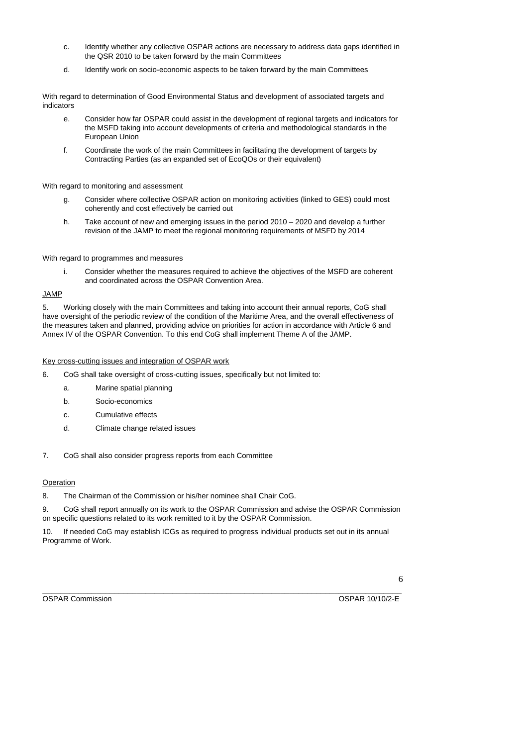- c. Identify whether any collective OSPAR actions are necessary to address data gaps identified in the QSR 2010 to be taken forward by the main Committees
- d. Identify work on socio-economic aspects to be taken forward by the main Committees

With regard to determination of Good Environmental Status and development of associated targets and indicators

- e. Consider how far OSPAR could assist in the development of regional targets and indicators for the MSFD taking into account developments of criteria and methodological standards in the European Union
- f. Coordinate the work of the main Committees in facilitating the development of targets by Contracting Parties (as an expanded set of EcoQOs or their equivalent)

With regard to monitoring and assessment

- g. Consider where collective OSPAR action on monitoring activities (linked to GES) could most coherently and cost effectively be carried out
- h. Take account of new and emerging issues in the period 2010 2020 and develop a further revision of the JAMP to meet the regional monitoring requirements of MSFD by 2014

With regard to programmes and measures

i. Consider whether the measures required to achieve the objectives of the MSFD are coherent and coordinated across the OSPAR Convention Area.

### JAMP

5. Working closely with the main Committees and taking into account their annual reports, CoG shall have oversight of the periodic review of the condition of the Maritime Area, and the overall effectiveness of the measures taken and planned, providing advice on priorities for action in accordance with Article 6 and Annex IV of the OSPAR Convention. To this end CoG shall implement Theme A of the JAMP.

Key cross-cutting issues and integration of OSPAR work

- 6. CoG shall take oversight of cross-cutting issues, specifically but not limited to:
	- a. Marine spatial planning
	- b. Socio-economics
	- c. Cumulative effects
	- d. Climate change related issues
- 7. CoG shall also consider progress reports from each Committee

### Operation

8. The Chairman of the Commission or his/her nominee shall Chair CoG.

9. CoG shall report annually on its work to the OSPAR Commission and advise the OSPAR Commission on specific questions related to its work remitted to it by the OSPAR Commission.

10. If needed CoG may establish ICGs as required to progress individual products set out in its annual Programme of Work.

OSPAR Commission OSPAR 10/10/2-E

\_\_\_\_\_\_\_\_\_\_\_\_\_\_\_\_\_\_\_\_\_\_\_\_\_\_\_\_\_\_\_\_\_\_\_\_\_\_\_\_\_\_\_\_\_\_\_\_\_\_\_\_\_\_\_\_\_\_\_\_\_\_\_\_\_\_\_\_\_\_\_\_\_\_\_\_\_\_\_\_ 6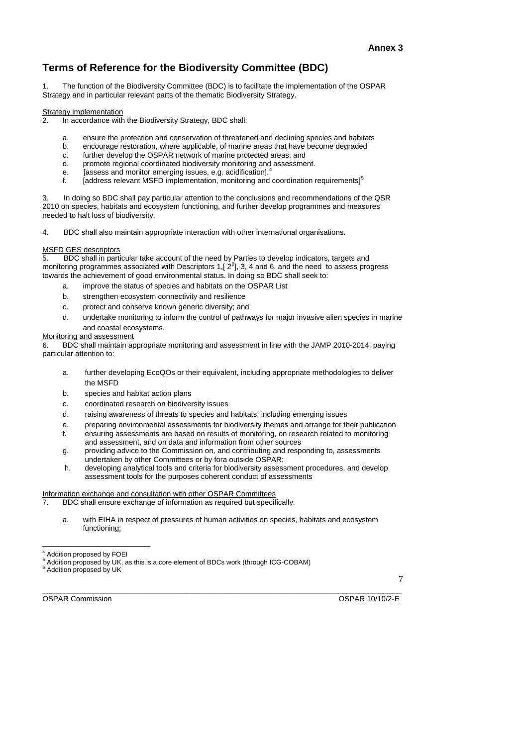### **Terms of Reference for the Biodiversity Committee (BDC)**

1. The function of the Biodiversity Committee (BDC) is to facilitate the implementation of the OSPAR Strategy and in particular relevant parts of the thematic Biodiversity Strategy.

#### Strategy implementation

- 2. In accordance with the Biodiversity Strategy, BDC shall:
	- a. ensure the protection and conservation of threatened and declining species and habitats
	- b. encourage restoration, where applicable, of marine areas that have become degraded
	- c. further develop the OSPAR network of marine protected areas; and
	- d. promote regional coordinated biodiversity monitoring and assessment.
	- e. [assess and monitor emerging issues, e.g. acidification].<sup>[4](#page-6-0)</sup>
	- f.  $\quad$  [address relevant MSFD implementation, monitoring and coordination requirements]<sup>[5](#page-6-1)</sup>

3. In doing so BDC shall pay particular attention to the conclusions and recommendations of the QSR 2010 on species, habitats and ecosystem functioning, and further develop programmes and measures needed to halt loss of biodiversity.

4. BDC shall also maintain appropriate interaction with other international organisations.

### MSFD GES descriptors

5. BDC shall in particular take account of the need by Parties to develop indicators, targets and monitoring programmes associated with Descriptors 1,  $[2^6]$  $[2^6]$  $[2^6]$ , 3, 4 and 6, and the need to assess progress towards the achievement of good environmental status. In doing so BDC shall seek to:

- a. improve the status of species and habitats on the OSPAR List
- b. strengthen ecosystem connectivity and resilience
- c. protect and conserve known generic diversity; and
- d. undertake monitoring to inform the control of pathways for major invasive alien species in marine and coastal ecosystems.

### Monitoring and assessment

6. BDC shall maintain appropriate monitoring and assessment in line with the JAMP 2010-2014, paying particular attention to:

- a. further developing EcoQOs or their equivalent, including appropriate methodologies to deliver the MSFD
- b. species and habitat action plans
- c. coordinated research on biodiversity issues
- d. raising awareness of threats to species and habitats, including emerging issues
- e. preparing environmental assessments for biodiversity themes and arrange for their publication
- f. ensuring assessments are based on results of monitoring, on research related to monitoring and assessment, and on data and information from other sources
- g. providing advice to the Commission on, and contributing and responding to, assessments undertaken by other Committees or by fora outside OSPAR;
- h. developing analytical tools and criteria for biodiversity assessment procedures, and develop assessment tools for the purposes coherent conduct of assessments

### Information exchange and consultation with other OSPAR Committees

7. BDC shall ensure exchange of information as required but specifically:

a. with EIHA in respect of pressures of human activities on species, habitats and ecosystem functioning;

<sup>6</sup> Addition proposed by UK

l

7

<span id="page-6-2"></span><span id="page-6-1"></span><span id="page-6-0"></span>\_\_\_\_\_\_\_\_\_\_\_\_\_\_\_\_\_\_\_\_\_\_\_\_\_\_\_\_\_\_\_\_\_\_\_\_\_\_\_\_\_\_\_\_\_\_\_\_\_\_\_\_\_\_\_\_\_\_\_\_\_\_\_\_\_\_\_\_\_\_\_\_\_\_\_\_\_\_\_\_ OSPAR Commission OSPAR 10/10/2-E

<sup>4</sup> Addition proposed by FOEI

<sup>&</sup>lt;sup>5</sup> Addition proposed by UK, as this is a core element of BDCs work (through ICG-COBAM)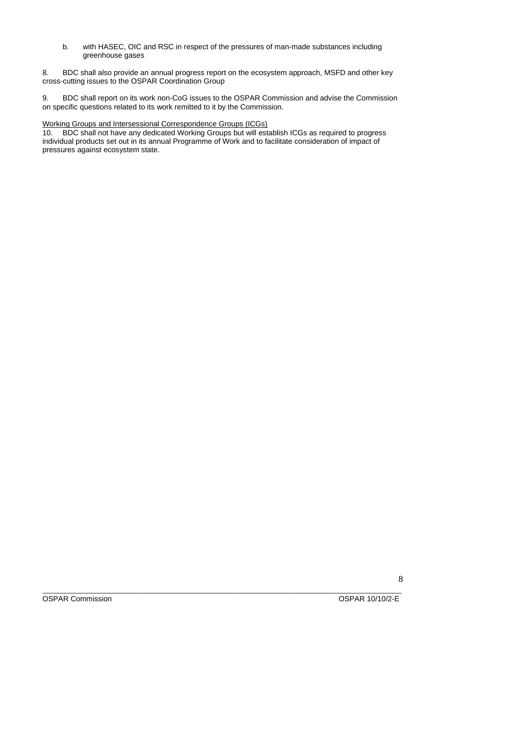b. with HASEC, OIC and RSC in respect of the pressures of man-made substances including greenhouse gases

8. BDC shall also provide an annual progress report on the ecosystem approach, MSFD and other key cross-cutting issues to the OSPAR Coordination Group

9. BDC shall report on its work non-CoG issues to the OSPAR Commission and advise the Commission on specific questions related to its work remitted to it by the Commission.

### Working Groups and Intersessional Correspondence Groups (ICGs)

10. BDC shall not have any dedicated Working Groups but will establish ICGs as required to progress individual products set out in its annual Programme of Work and to facilitate consideration of impact of pressures against ecosystem state.

\_\_\_\_\_\_\_\_\_\_\_\_\_\_\_\_\_\_\_\_\_\_\_\_\_\_\_\_\_\_\_\_\_\_\_\_\_\_\_\_\_\_\_\_\_\_\_\_\_\_\_\_\_\_\_\_\_\_\_\_\_\_\_\_\_\_\_\_\_\_\_\_\_\_\_\_\_\_\_\_ OSPAR Commission OSPAR 10/10/2-E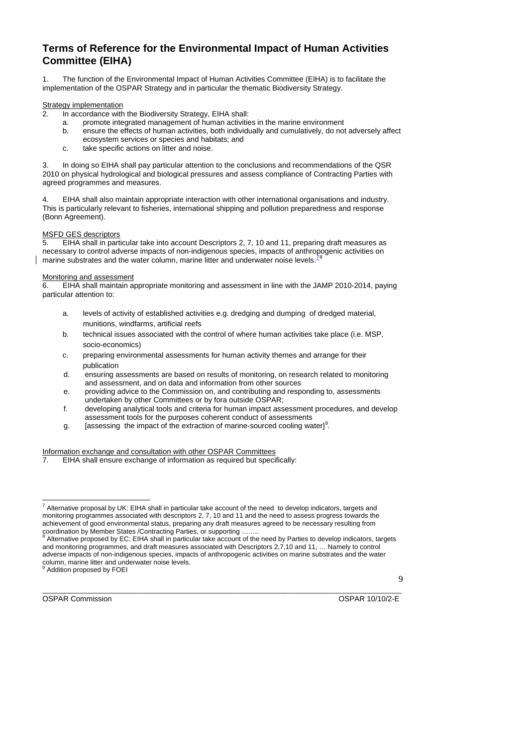### **Terms of Reference for the Environmental Impact of Human Activities Committee (EIHA)**

The function of the Environmental Impact of Human Activities Committee (EIHA) is to facilitate the implementation of the OSPAR Strategy and in particular the thematic Biodiversity Strategy.

### **Strategy implementation**

- 2. In accordance with the Biodiversity Strategy, EIHA shall:
	- a. promote integrated management of human activities in the marine environment
	- b. ensure the effects of human activities, both individually and cumulatively, do not adversely affect ecosystem services or species and habitats; and
	- c. take specific actions on litter and noise.

3. In doing so EIHA shall pay particular attention to the conclusions and recommendations of the QSR 2010 on physical hydrological and biological pressures and assess compliance of Contracting Parties with agreed programmes and measures.

4. EIHA shall also maintain appropriate interaction with other international organisations and industry. This is particularly relevant to fisheries, international shipping and pollution preparedness and response (Bonn Agreement).

## MSFD GES descriptors<br>5 FIHA shall in part

5. EIHA shall in particular take into account Descriptors 2, 7, 10 and 11, preparing draft measures as necessary to control adverse impacts of non-indigenous species, impacts of anthropogenic activities on marine substrates and the water column, marine litter and underwater noise levels. $\frac{3}{5}$ 

### Monitoring and assessment

6. EIHA shall maintain appropriate monitoring and assessment in line with the JAMP 2010-2014, paying particular attention to:

- a. levels of activity of established activities e.g. dredging and dumping of dredged material, munitions, windfarms, artificial reefs
- b. technical issues associated with the control of where human activities take place (i.e. MSP, socio-economics)
- c. preparing environmental assessments for human activity themes and arrange for their publication
- d. ensuring assessments are based on results of monitoring, on research related to monitoring and assessment, and on data and information from other sources
- e. providing advice to the Commission on, and contributing and responding to, assessments undertaken by other Committees or by fora outside OSPAR;
- f. developing analytical tools and criteria for human impact assessment procedures, and develop assessment tools for the purposes coherent conduct of assessments
- g. [assessing the impact of the extraction of marine-sourced cooling water][9](#page-8-2) *.*

## Information exchange and consultation with other OSPAR Committees<br>7. EIHA shall ensure exchange of information as required but speci-

EIHA shall ensure exchange of information as required but specifically:

Addition proposed by FOEI

<span id="page-8-2"></span><span id="page-8-1"></span><span id="page-8-0"></span>

\_\_\_\_\_\_\_\_\_\_\_\_\_\_\_\_\_\_\_\_\_\_\_\_\_\_\_\_\_\_\_\_\_\_\_\_\_\_\_\_\_\_\_\_\_\_\_\_\_\_\_\_\_\_\_\_\_\_\_\_\_\_\_\_\_\_\_\_\_\_\_\_\_\_\_\_\_\_\_\_ OSPAR Commission OSPAR 10/10/2-E

 $\overline{Q}$ 

 7 Alternative proposal by UK: EIHA shall in particular take account of the need to develop indicators, targets and monitoring programmes associated with descriptors 2, 7, 10 and 11 and the need to assess progress towards the achievement of good environmental status, preparing any draft measures agreed to be necessary resulting from coordination by Member States /Contracting Parties, or supporting ........<br><sup>8</sup> Alternative proposed by EC: FIHA shall in particular take account of the

Alternative proposed by EC: EIHA shall in particular take account of the need by Parties to develop indicators, targets and monitoring programmes, and draft measures associated with Descriptors 2,7,10 and 11, … Namely to control adverse impacts of non-indigenous species, impacts of anthropogenic activities on marine substrates and the water column, marine litter and underwater noise levels.<br><sup>9</sup> Addition prepased by EQEL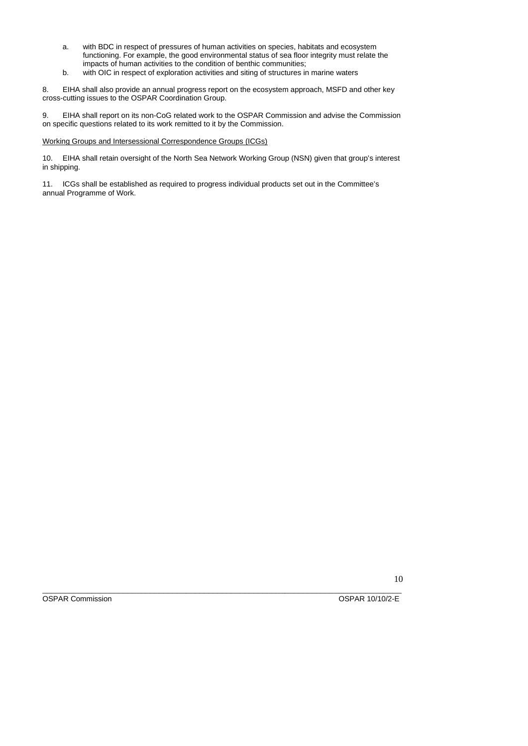- a. with BDC in respect of pressures of human activities on species, habitats and ecosystem functioning. For example, the good environmental status of sea floor integrity must relate the impacts of human activities to the condition of benthic communities;
- b. with OIC in respect of exploration activities and siting of structures in marine waters

8. EIHA shall also provide an annual progress report on the ecosystem approach, MSFD and other key cross-cutting issues to the OSPAR Coordination Group.

9. EIHA shall report on its non-CoG related work to the OSPAR Commission and advise the Commission on specific questions related to its work remitted to it by the Commission.

Working Groups and Intersessional Correspondence Groups (ICGs)

10. EIHA shall retain oversight of the North Sea Network Working Group (NSN) given that group's interest in shipping.

11. ICGs shall be established as required to progress individual products set out in the Committee's annual Programme of Work.

\_\_\_\_\_\_\_\_\_\_\_\_\_\_\_\_\_\_\_\_\_\_\_\_\_\_\_\_\_\_\_\_\_\_\_\_\_\_\_\_\_\_\_\_\_\_\_\_\_\_\_\_\_\_\_\_\_\_\_\_\_\_\_\_\_\_\_\_\_\_\_\_\_\_\_\_\_\_\_\_ OSPAR Commission OSPAR 10/10/2-E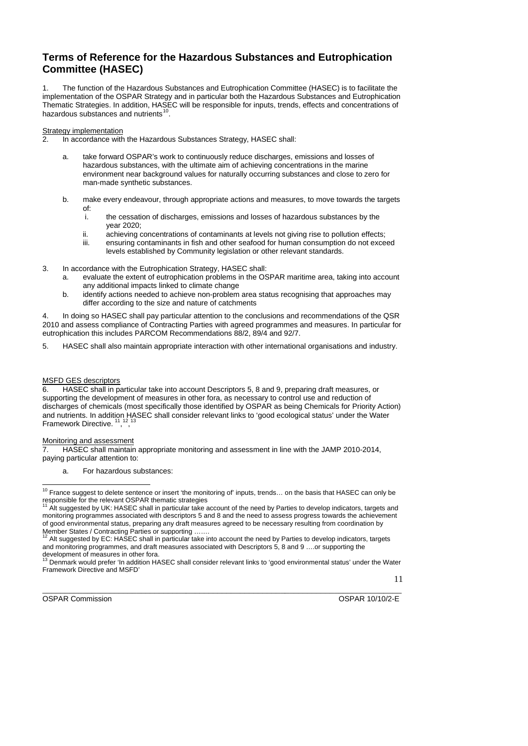### **Terms of Reference for the Hazardous Substances and Eutrophication Committee (HASEC)**

1. The function of the Hazardous Substances and Eutrophication Committee (HASEC) is to facilitate the implementation of the OSPAR Strategy and in particular both the Hazardous Substances and Eutrophication Thematic Strategies. In addition, HASEC will be responsible for inputs, trends, effects and concentrations of hazardous substances and nutrients<sup>[10](#page-10-0)</sup>.

#### Strategy implementation

- 2. In accordance with the Hazardous Substances Strategy, HASEC shall:
	- a. take forward OSPAR's work to continuously reduce discharges, emissions and losses of hazardous substances, with the ultimate aim of achieving concentrations in the marine environment near background values for naturally occurring substances and close to zero for man-made synthetic substances.
	- b. make every endeavour, through appropriate actions and measures, to move towards the targets of:
		- i. the cessation of discharges, emissions and losses of hazardous substances by the year 2020;
		- ii. achieving concentrations of contaminants at levels not giving rise to pollution effects;
		- iii. ensuring contaminants in fish and other seafood for human consumption do not exceed levels established by Community legislation or other relevant standards.
- 3. In accordance with the Eutrophication Strategy, HASEC shall:
	- a. evaluate the extent of eutrophication problems in the OSPAR maritime area, taking into account any additional impacts linked to climate change
	- b. identify actions needed to achieve non-problem area status recognising that approaches may differ according to the size and nature of catchments

4. In doing so HASEC shall pay particular attention to the conclusions and recommendations of the QSR 2010 and assess compliance of Contracting Parties with agreed programmes and measures. In particular for eutrophication this includes PARCOM Recommendations 88/2, 89/4 and 92/7.

5. HASEC shall also maintain appropriate interaction with other international organisations and industry.

#### MSFD GES descriptors

6. HASEC shall in particular take into account Descriptors 5, 8 and 9, preparing draft measures, or supporting the development of measures in other fora, as necessary to control use and reduction of discharges of chemicals (most specifically those identified by OSPAR as being Chemicals for Priority Action) and nutrients. In addition HASEC shall consider relevant links to 'good ecological status' under the Water<br>Framework Directive. <sup>11</sup>, 1<sup>2, [13](#page-10-3)</sup>

#### Monitoring and assessment

l

7. HASEC shall maintain appropriate monitoring and assessment in line with the JAMP 2010-2014, paying particular attention to:

a. For hazardous substances:

<span id="page-10-3"></span><span id="page-10-2"></span><span id="page-10-1"></span>

<span id="page-10-0"></span>\_\_\_\_\_\_\_\_\_\_\_\_\_\_\_\_\_\_\_\_\_\_\_\_\_\_\_\_\_\_\_\_\_\_\_\_\_\_\_\_\_\_\_\_\_\_\_\_\_\_\_\_\_\_\_\_\_\_\_\_\_\_\_\_\_\_\_\_\_\_\_\_\_\_\_\_\_\_\_\_ OSPAR Commission OSPAR 10/10/2-E

 $10$  France suggest to delete sentence or insert 'the monitoring of' inputs, trends... on the basis that HASEC can only be responsible for the relevant OSPAR thematic strategies

<sup>11</sup> Alt suggested by UK: HASEC shall in particular take account of the need by Parties to develop indicators, targets and monitoring programmes associated with descriptors 5 and 8 and the need to assess progress towards the achievement of good environmental status, preparing any draft measures agreed to be necessary resulting from coordination by Member States / Contracting Parties or supporting …….

Alt suggested by EC: HASEC shall in particular take into account the need by Parties to develop indicators, targets and monitoring programmes, and draft measures associated with Descriptors 5, 8 and 9 ….or supporting the development of measures in other fora.<br>
<sup>13</sup> Denmark was the set of the fora.

<sup>13</sup> Denmark would prefer 'In addition HASEC shall consider relevant links to 'good environmental status' under the Water Framework Directive and MSFD'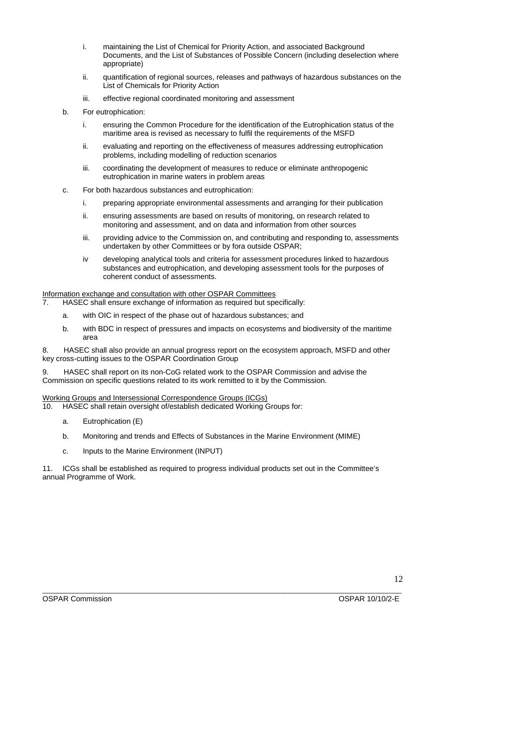- i. maintaining the List of Chemical for Priority Action, and associated Background Documents, and the List of Substances of Possible Concern (including deselection where appropriate)
- ii. quantification of regional sources, releases and pathways of hazardous substances on the List of Chemicals for Priority Action
- iii. effective regional coordinated monitoring and assessment
- b. For eutrophication:
	- i. ensuring the Common Procedure for the identification of the Eutrophication status of the maritime area is revised as necessary to fulfil the requirements of the MSFD
	- ii. evaluating and reporting on the effectiveness of measures addressing eutrophication problems, including modelling of reduction scenarios
	- iii. coordinating the development of measures to reduce or eliminate anthropogenic eutrophication in marine waters in problem areas
- c. For both hazardous substances and eutrophication:
	- i. preparing appropriate environmental assessments and arranging for their publication
	- ii. ensuring assessments are based on results of monitoring, on research related to monitoring and assessment, and on data and information from other sources
	- iii. providing advice to the Commission on, and contributing and responding to, assessments undertaken by other Committees or by fora outside OSPAR;
	- iv developing analytical tools and criteria for assessment procedures linked to hazardous substances and eutrophication, and developing assessment tools for the purposes of coherent conduct of assessments.

Information exchange and consultation with other OSPAR Committees

- 7. HASEC shall ensure exchange of information as required but specifically:
	- a. with OIC in respect of the phase out of hazardous substances; and
	- b. with BDC in respect of pressures and impacts on ecosystems and biodiversity of the maritime area

8. HASEC shall also provide an annual progress report on the ecosystem approach, MSFD and other key cross-cutting issues to the OSPAR Coordination Group

9. HASEC shall report on its non-CoG related work to the OSPAR Commission and advise the Commission on specific questions related to its work remitted to it by the Commission.

Working Groups and Intersessional Correspondence Groups (ICGs)

10. HASEC shall retain oversight of/establish dedicated Working Groups for:

- a. Eutrophication (E)
- b. Monitoring and trends and Effects of Substances in the Marine Environment (MIME)
- c. Inputs to the Marine Environment (INPUT)

11. ICGs shall be established as required to progress individual products set out in the Committee's annual Programme of Work.

OSPAR Commission OSPAR 10/10/2-E

\_\_\_\_\_\_\_\_\_\_\_\_\_\_\_\_\_\_\_\_\_\_\_\_\_\_\_\_\_\_\_\_\_\_\_\_\_\_\_\_\_\_\_\_\_\_\_\_\_\_\_\_\_\_\_\_\_\_\_\_\_\_\_\_\_\_\_\_\_\_\_\_\_\_\_\_\_\_\_\_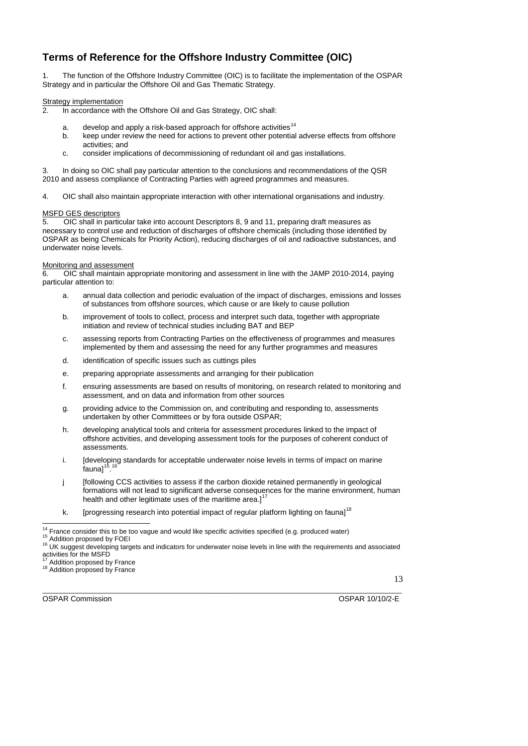### **Terms of Reference for the Offshore Industry Committee (OIC)**

1. The function of the Offshore Industry Committee (OIC) is to facilitate the implementation of the OSPAR Strategy and in particular the Offshore Oil and Gas Thematic Strategy.

### Strategy implementation

2. In accordance with the Offshore Oil and Gas Strategy, OIC shall:

- a. develop and apply a risk-based approach for offshore activities<sup>[14](#page-12-0)</sup>
- b. keep under review the need for actions to prevent other potential adverse effects from offshore activities; and
- c. consider implications of decommissioning of redundant oil and gas installations.

3. In doing so OIC shall pay particular attention to the conclusions and recommendations of the QSR 2010 and assess compliance of Contracting Parties with agreed programmes and measures.

4. OIC shall also maintain appropriate interaction with other international organisations and industry.

### MSFD GES descriptors

5. OIC shall in particular take into account Descriptors 8, 9 and 11, preparing draft measures as necessary to control use and reduction of discharges of offshore chemicals (including those identified by OSPAR as being Chemicals for Priority Action), reducing discharges of oil and radioactive substances, and underwater noise levels.

### Monitoring and assessment

6. OIC shall maintain appropriate monitoring and assessment in line with the JAMP 2010-2014, paying particular attention to:

- a. annual data collection and periodic evaluation of the impact of discharges, emissions and losses of substances from offshore sources, which cause or are likely to cause pollution
- b. improvement of tools to collect, process and interpret such data, together with appropriate initiation and review of technical studies including BAT and BEP
- c. assessing reports from Contracting Parties on the effectiveness of programmes and measures implemented by them and assessing the need for any further programmes and measures
- d. identification of specific issues such as cuttings piles
- e. preparing appropriate assessments and arranging for their publication
- f. ensuring assessments are based on results of monitoring, on research related to monitoring and assessment, and on data and information from other sources
- g. providing advice to the Commission on, and contributing and responding to, assessments undertaken by other Committees or by fora outside OSPAR;
- h. developing analytical tools and criteria for assessment procedures linked to the impact of offshore activities, and developing assessment tools for the purposes of coherent conduct of assessments.
- i. [developing standards for acceptable underwater noise levels in terms of impact on marine  $fa$ una $1^1$ [16](#page-12-2)
- j [following CCS activities to assess if the carbon dioxide retained permanently in geological formations will not lead to significant adverse consequences for the marine environment, human health and other legitimate uses of the maritime area. $l^1$
- k. [progressing research into potential impact of regular platform lighting on fauna]<sup>[18](#page-12-4)</sup>

13

<span id="page-12-4"></span><span id="page-12-3"></span><span id="page-12-2"></span><span id="page-12-1"></span><span id="page-12-0"></span>OSPAR Commission OSPAR 10/10/2-E

\_\_\_\_\_\_\_\_\_\_\_\_\_\_\_\_\_\_\_\_\_\_\_\_\_\_\_\_\_\_\_\_\_\_\_\_\_\_\_\_\_\_\_\_\_\_\_\_\_\_\_\_\_\_\_\_\_\_\_\_\_\_\_\_\_\_\_\_\_\_\_\_\_\_\_\_\_\_\_\_

<sup>&</sup>lt;sup>14</sup> France consider this to be too vague and would like specific activities specified (e.g. produced water)

<sup>&</sup>lt;sup>16</sup> Addition proposed by FOEI<br><sup>16</sup> UK suggest developing targets and indicators for underwater noise levels in line with the requirements and associated activities for the MSFD<br><sup>17</sup> Addition proposed by France

<sup>18</sup> Addition proposed by France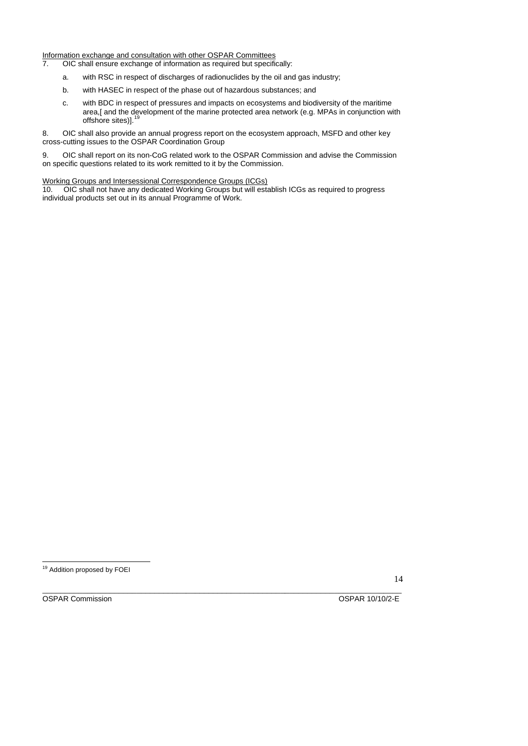Information exchange and consultation with other OSPAR Committees

- 7. OIC shall ensure exchange of information as required but specifically:
	- a. with RSC in respect of discharges of radionuclides by the oil and gas industry;
	- b. with HASEC in respect of the phase out of hazardous substances; and
	- c. with BDC in respect of pressures and impacts on ecosystems and biodiversity of the maritime area,[ and the development of the marine protected area network (e.g. MPAs in conjunction with offshore sites)].<sup>[19](#page-13-0)</sup>

8. OIC shall also provide an annual progress report on the ecosystem approach, MSFD and other key cross-cutting issues to the OSPAR Coordination Group

9. OIC shall report on its non-CoG related work to the OSPAR Commission and advise the Commission on specific questions related to its work remitted to it by the Commission.

#### Working Groups and Intersessional Correspondence Groups (ICGs)

10. OIC shall not have any dedicated Working Groups but will establish ICGs as required to progress individual products set out in its annual Programme of Work.

14

<span id="page-13-0"></span>\_\_\_\_\_\_\_\_\_\_\_\_\_\_\_\_\_\_\_\_\_\_\_\_\_\_\_\_\_\_\_\_\_\_\_\_\_\_\_\_\_\_\_\_\_\_\_\_\_\_\_\_\_\_\_\_\_\_\_\_\_\_\_\_\_\_\_\_\_\_\_\_\_\_\_\_\_\_\_\_ OSPAR Commission OSPAR 10/10/2-E

l <sup>19</sup> Addition proposed by FOEI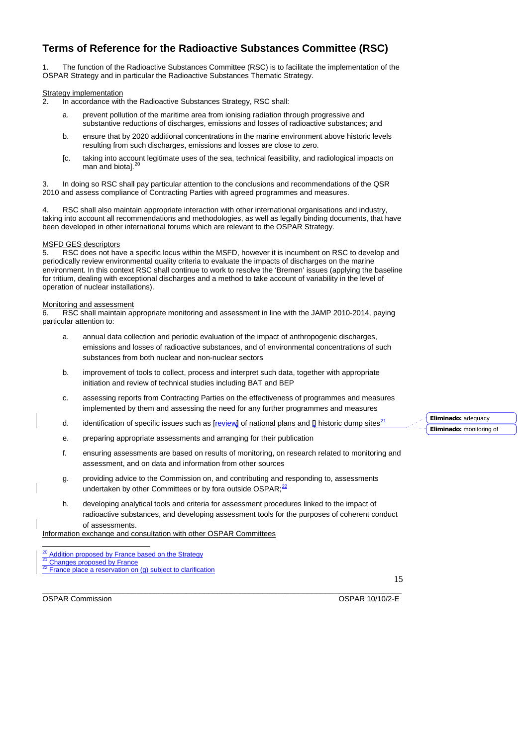### **Terms of Reference for the Radioactive Substances Committee (RSC)**

1. The function of the Radioactive Substances Committee (RSC) is to facilitate the implementation of the OSPAR Strategy and in particular the Radioactive Substances Thematic Strategy.

### Strategy implementation

2. In accordance with the Radioactive Substances Strategy, RSC shall:

- a. prevent pollution of the maritime area from ionising radiation through progressive and substantive reductions of discharges, emissions and losses of radioactive substances; and
- b. ensure that by 2020 additional concentrations in the marine environment above historic levels resulting from such discharges, emissions and losses are close to zero.
- [c. taking into account legitimate uses of the sea, technical feasibility, and radiological impacts on man and biotal.<sup>2</sup>

3. In doing so RSC shall pay particular attention to the conclusions and recommendations of the QSR 2010 and assess compliance of Contracting Parties with agreed programmes and measures.

4. RSC shall also maintain appropriate interaction with other international organisations and industry, taking into account all recommendations and methodologies, as well as legally binding documents, that have been developed in other international forums which are relevant to the OSPAR Strategy.

### MSFD GES descriptors

5. RSC does not have a specific locus within the MSFD, however it is incumbent on RSC to develop and periodically review environmental quality criteria to evaluate the impacts of discharges on the marine environment. In this context RSC shall continue to work to resolve the 'Bremen' issues (applying the baseline for tritium, dealing with exceptional discharges and a method to take account of variability in the level of operation of nuclear installations).

### Monitoring and assessment

6. RSC shall maintain appropriate monitoring and assessment in line with the JAMP 2010-2014, paying particular attention to:

- a. annual data collection and periodic evaluation of the impact of anthropogenic discharges, emissions and losses of radioactive substances, and of environmental concentrations of such substances from both nuclear and non-nuclear sectors
- b. improvement of tools to collect, process and interpret such data, together with appropriate initiation and review of technical studies including BAT and BEP
- c. assessing reports from Contracting Parties on the effectiveness of programmes and measures implemented by them and assessing the need for any further programmes and measures
- d. identification of specific issues such as  $[review]$  of national plans and  $[]$  historic dump sites<sup>[21](#page-14-1)</sup>
- e. preparing appropriate assessments and arranging for their publication
- f. ensuring assessments are based on results of monitoring, on research related to monitoring and assessment, and on data and information from other sources
- g. providing advice to the Commission on, and contributing and responding to, assessments undertaken by other Committees or by fora outside OSPAR; $^{22}$  $^{22}$  $^{22}$
- h. developing analytical tools and criteria for assessment procedures linked to the impact of radioactive substances, and developing assessment tools for the purposes of coherent conduct of assessments.

Information exchange and consultation with other OSPAR Committees

l

- 
- <sup>20</sup> Addition proposed by France based on the Strategy<br>
<sup>21</sup> Changes proposed by France<br>
<sup>22</sup> France place a reservation on (g) subject to clarification

<span id="page-14-2"></span><span id="page-14-1"></span><span id="page-14-0"></span>OSPAR Commission OSPAR 10/10/2-E

15

\_\_\_\_\_\_\_\_\_\_\_\_\_\_\_\_\_\_\_\_\_\_\_\_\_\_\_\_\_\_\_\_\_\_\_\_\_\_\_\_\_\_\_\_\_\_\_\_\_\_\_\_\_\_\_\_\_\_\_\_\_\_\_\_\_\_\_\_\_\_\_\_\_\_\_\_\_\_\_\_

**Eliminado:** adequacy **Eliminado:** monitoring of